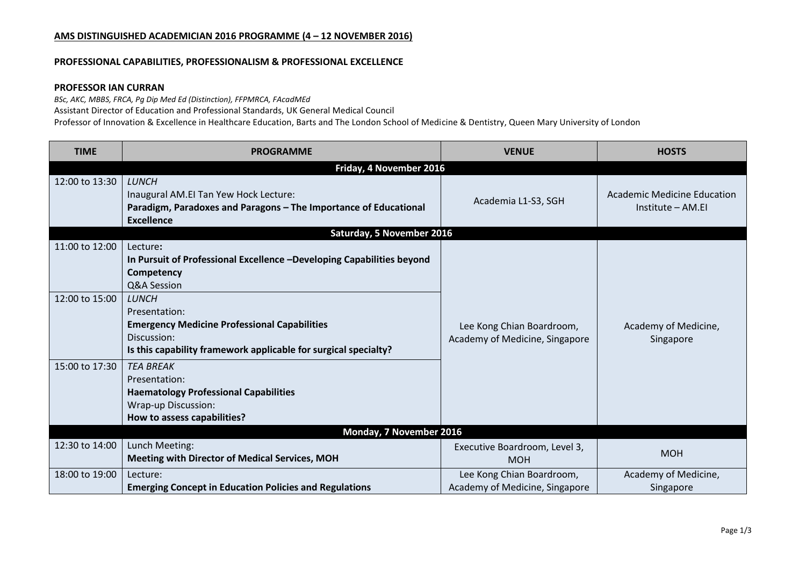# **AMS DISTINGUISHED ACADEMICIAN 2016 PROGRAMME (4 – 12 NOVEMBER 2016)**

#### **PROFESSIONAL CAPABILITIES, PROFESSIONALISM & PROFESSIONAL EXCELLENCE**

# **PROFESSOR IAN CURRAN**

*BSc, AKC, MBBS, FRCA, Pg Dip Med Ed (Distinction), FFPMRCA, FAcadMEd*

Assistant Director of Education and Professional Standards, UK General Medical Council

Professor of Innovation & Excellence in Healthcare Education, Barts and The London School of Medicine & Dentistry, Queen Mary University of London

| <b>TIME</b>             | <b>PROGRAMME</b>                                                                                                                                                       | <b>VENUE</b>                                                | <b>HOSTS</b>                                     |  |  |  |
|-------------------------|------------------------------------------------------------------------------------------------------------------------------------------------------------------------|-------------------------------------------------------------|--------------------------------------------------|--|--|--|
| Friday, 4 November 2016 |                                                                                                                                                                        |                                                             |                                                  |  |  |  |
| 12:00 to 13:30          | <b>LUNCH</b><br>Inaugural AM.EI Tan Yew Hock Lecture:<br>Paradigm, Paradoxes and Paragons - The Importance of Educational<br><b>Excellence</b>                         | Academia L1-S3, SGH                                         | Academic Medicine Education<br>Institute – AM.EI |  |  |  |
|                         | Saturday, 5 November 2016                                                                                                                                              |                                                             |                                                  |  |  |  |
| 11:00 to 12:00          | Lecture:<br>In Pursuit of Professional Excellence -Developing Capabilities beyond<br>Competency<br>Q&A Session                                                         |                                                             |                                                  |  |  |  |
| 12:00 to 15:00          | <b>LUNCH</b><br>Presentation:<br><b>Emergency Medicine Professional Capabilities</b><br>Discussion:<br>Is this capability framework applicable for surgical specialty? | Lee Kong Chian Boardroom,<br>Academy of Medicine, Singapore | Academy of Medicine,<br>Singapore                |  |  |  |
| 15:00 to 17:30          | <b>TEA BREAK</b><br>Presentation:<br><b>Haematology Professional Capabilities</b><br>Wrap-up Discussion:<br>How to assess capabilities?                                |                                                             |                                                  |  |  |  |
| Monday, 7 November 2016 |                                                                                                                                                                        |                                                             |                                                  |  |  |  |
| 12:30 to 14:00          | Lunch Meeting:<br><b>Meeting with Director of Medical Services, MOH</b>                                                                                                | Executive Boardroom, Level 3,<br><b>MOH</b>                 | <b>MOH</b>                                       |  |  |  |
| 18:00 to 19:00          | Lecture:<br><b>Emerging Concept in Education Policies and Regulations</b>                                                                                              | Lee Kong Chian Boardroom,<br>Academy of Medicine, Singapore | Academy of Medicine,<br>Singapore                |  |  |  |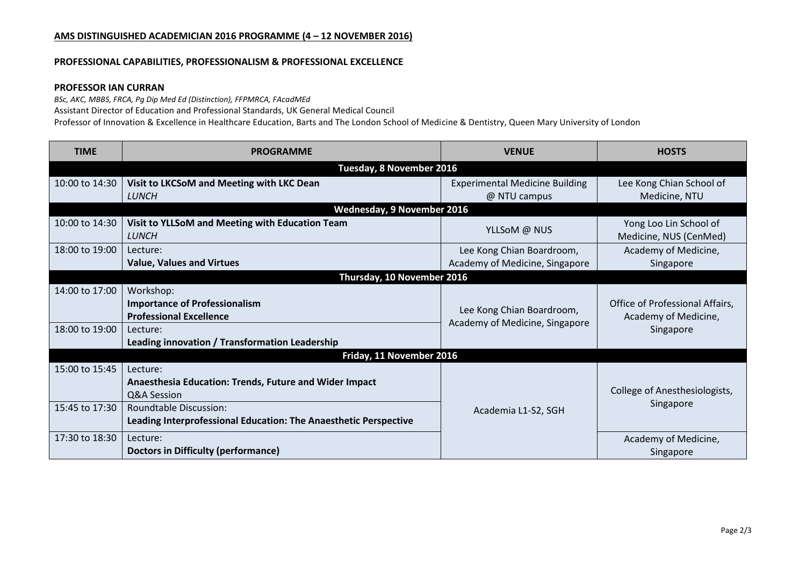# **AMS DISTINGUISHED ACADEMICIAN 2016 PROGRAMME (4 – 12 NOVEMBER 2016)**

#### **PROFESSIONAL CAPABILITIES, PROFESSIONALISM & PROFESSIONAL EXCELLENCE**

# **PROFESSOR IAN CURRAN**

*BSc, AKC, MBBS, FRCA, Pg Dip Med Ed (Distinction), FFPMRCA, FAcadMEd*

Assistant Director of Education and Professional Standards, UK General Medical Council

Professor of Innovation & Excellence in Healthcare Education, Barts and The London School of Medicine & Dentistry, Queen Mary University of London

| <b>TIME</b>                | <b>PROGRAMME</b>                                                 | <b>VENUE</b>                                                | <b>HOSTS</b>                                                         |  |  |
|----------------------------|------------------------------------------------------------------|-------------------------------------------------------------|----------------------------------------------------------------------|--|--|
| Tuesday, 8 November 2016   |                                                                  |                                                             |                                                                      |  |  |
| 10:00 to 14:30             | Visit to LKCSoM and Meeting with LKC Dean                        | <b>Experimental Medicine Building</b>                       | Lee Kong Chian School of                                             |  |  |
|                            | <b>LUNCH</b>                                                     | @ NTU campus                                                | Medicine, NTU                                                        |  |  |
| Wednesday, 9 November 2016 |                                                                  |                                                             |                                                                      |  |  |
| 10:00 to 14:30             | Visit to YLLSoM and Meeting with Education Team                  | YLLSoM @ NUS                                                | Yong Loo Lin School of                                               |  |  |
|                            | <b>LUNCH</b>                                                     |                                                             | Medicine, NUS (CenMed)                                               |  |  |
| 18:00 to 19:00             | Lecture:                                                         | Lee Kong Chian Boardroom,                                   | Academy of Medicine,                                                 |  |  |
|                            | <b>Value, Values and Virtues</b>                                 | Academy of Medicine, Singapore                              | Singapore                                                            |  |  |
| Thursday, 10 November 2016 |                                                                  |                                                             |                                                                      |  |  |
| 14:00 to 17:00             | Workshop:                                                        |                                                             | Office of Professional Affairs,<br>Academy of Medicine,<br>Singapore |  |  |
|                            | <b>Importance of Professionalism</b>                             | Lee Kong Chian Boardroom,<br>Academy of Medicine, Singapore |                                                                      |  |  |
|                            | <b>Professional Excellence</b>                                   |                                                             |                                                                      |  |  |
| 18:00 to 19:00             | Lecture:                                                         |                                                             |                                                                      |  |  |
|                            | Leading innovation / Transformation Leadership                   |                                                             |                                                                      |  |  |
| Friday, 11 November 2016   |                                                                  |                                                             |                                                                      |  |  |
| 15:00 to 15:45             | Lecture:                                                         |                                                             |                                                                      |  |  |
|                            | <b>Anaesthesia Education: Trends, Future and Wider Impact</b>    |                                                             |                                                                      |  |  |
|                            | Q&A Session                                                      |                                                             | College of Anesthesiologists,                                        |  |  |
| 15:45 to 17:30             | Roundtable Discussion:                                           | Academia L1-S2, SGH                                         | Singapore                                                            |  |  |
|                            | Leading Interprofessional Education: The Anaesthetic Perspective |                                                             |                                                                      |  |  |
| 17:30 to 18:30             | Lecture:                                                         |                                                             | Academy of Medicine,                                                 |  |  |
|                            | <b>Doctors in Difficulty (performance)</b>                       |                                                             | Singapore                                                            |  |  |